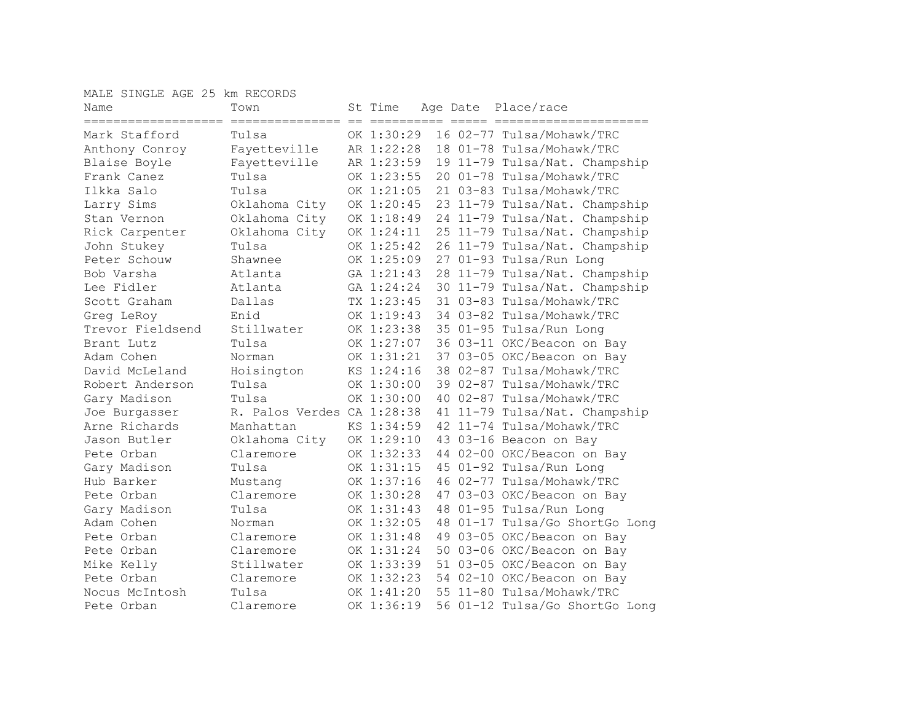MALE SINGLE AGE 25 km RECORDS

| Name                | Town                       |     | St Time    |     | Age Date Place/race            |
|---------------------|----------------------------|-----|------------|-----|--------------------------------|
| =================== | ===============            | $=$ |            | $=$ |                                |
| Mark Stafford       | Tulsa                      |     | OK 1:30:29 |     | 16 02-77 Tulsa/Mohawk/TRC      |
| Anthony Conroy      | Fayetteville               |     | AR 1:22:28 |     | 18 01-78 Tulsa/Mohawk/TRC      |
| Blaise Boyle        | Fayetteville               |     | AR 1:23:59 |     | 19 11-79 Tulsa/Nat. Champship  |
| Frank Canez         | Tulsa                      |     | OK 1:23:55 |     | 20 01-78 Tulsa/Mohawk/TRC      |
| Ilkka Salo          | Tulsa                      |     | OK 1:21:05 |     | 21 03-83 Tulsa/Mohawk/TRC      |
| Larry Sims          | Oklahoma City              |     | OK 1:20:45 |     | 23 11-79 Tulsa/Nat. Champship  |
| Stan Vernon         | Oklahoma City              |     | OK 1:18:49 |     | 24 11-79 Tulsa/Nat. Champship  |
| Rick Carpenter      | Oklahoma City              |     | OK 1:24:11 |     | 25 11-79 Tulsa/Nat. Champship  |
| John Stukey         | Tulsa                      |     | OK 1:25:42 |     | 26 11-79 Tulsa/Nat. Champship  |
| Peter Schouw        | Shawnee                    |     | OK 1:25:09 |     | 27 01-93 Tulsa/Run Long        |
| Bob Varsha          | Atlanta                    |     | GA 1:21:43 |     | 28 11-79 Tulsa/Nat. Champship  |
| Lee Fidler          | Atlanta                    |     | GA 1:24:24 |     | 30 11-79 Tulsa/Nat. Champship  |
| Scott Graham        | Dallas                     |     | TX 1:23:45 |     | 31 03-83 Tulsa/Mohawk/TRC      |
| Greg LeRoy          | Enid                       |     | OK 1:19:43 |     | 34 03-82 Tulsa/Mohawk/TRC      |
| Trevor Fieldsend    | Stillwater                 |     | OK 1:23:38 |     | 35 01-95 Tulsa/Run Long        |
| Brant Lutz          | Tulsa                      |     | OK 1:27:07 |     | 36 03-11 OKC/Beacon on Bay     |
| Adam Cohen          | Norman                     |     | OK 1:31:21 |     | 37 03-05 OKC/Beacon on Bay     |
| David McLeland      | Hoisington                 |     | KS 1:24:16 |     | 38 02-87 Tulsa/Mohawk/TRC      |
| Robert Anderson     | Tulsa                      |     | OK 1:30:00 |     | 39 02-87 Tulsa/Mohawk/TRC      |
| Gary Madison        | Tulsa                      |     | OK 1:30:00 |     | 40 02-87 Tulsa/Mohawk/TRC      |
| Joe Burgasser       | R. Palos Verdes CA 1:28:38 |     |            |     | 41 11-79 Tulsa/Nat. Champship  |
| Arne Richards       | Manhattan                  |     | KS 1:34:59 |     | 42 11-74 Tulsa/Mohawk/TRC      |
| Jason Butler        | Oklahoma City              |     | OK 1:29:10 |     | 43 03-16 Beacon on Bay         |
| Pete Orban          | Claremore                  |     | OK 1:32:33 |     | 44 02-00 OKC/Beacon on Bay     |
| Gary Madison        | Tulsa                      |     | OK 1:31:15 |     | 45 01-92 Tulsa/Run Long        |
| Hub Barker          | Mustang                    |     | OK 1:37:16 |     | 46 02-77 Tulsa/Mohawk/TRC      |
| Pete Orban          | Claremore                  |     | OK 1:30:28 |     | 47 03-03 OKC/Beacon on Bay     |
| Gary Madison        | Tulsa                      |     | OK 1:31:43 |     | 48 01-95 Tulsa/Run Long        |
| Adam Cohen          | Norman                     |     | OK 1:32:05 |     | 48 01-17 Tulsa/Go ShortGo Long |
| Pete Orban          | Claremore                  |     | OK 1:31:48 |     | 49 03-05 OKC/Beacon on Bay     |
| Pete Orban          | Claremore                  |     | OK 1:31:24 |     | 50 03-06 OKC/Beacon on Bay     |
| Mike Kelly          | Stillwater                 |     | OK 1:33:39 |     | 51 03-05 OKC/Beacon on Bay     |
| Pete Orban          | Claremore                  |     | OK 1:32:23 |     | 54 02-10 OKC/Beacon on Bay     |
| Nocus McIntosh      | Tulsa                      |     | OK 1:41:20 |     | 55 11-80 Tulsa/Mohawk/TRC      |
| Pete Orban          | Claremore                  |     | OK 1:36:19 |     | 56 01-12 Tulsa/Go ShortGo Long |